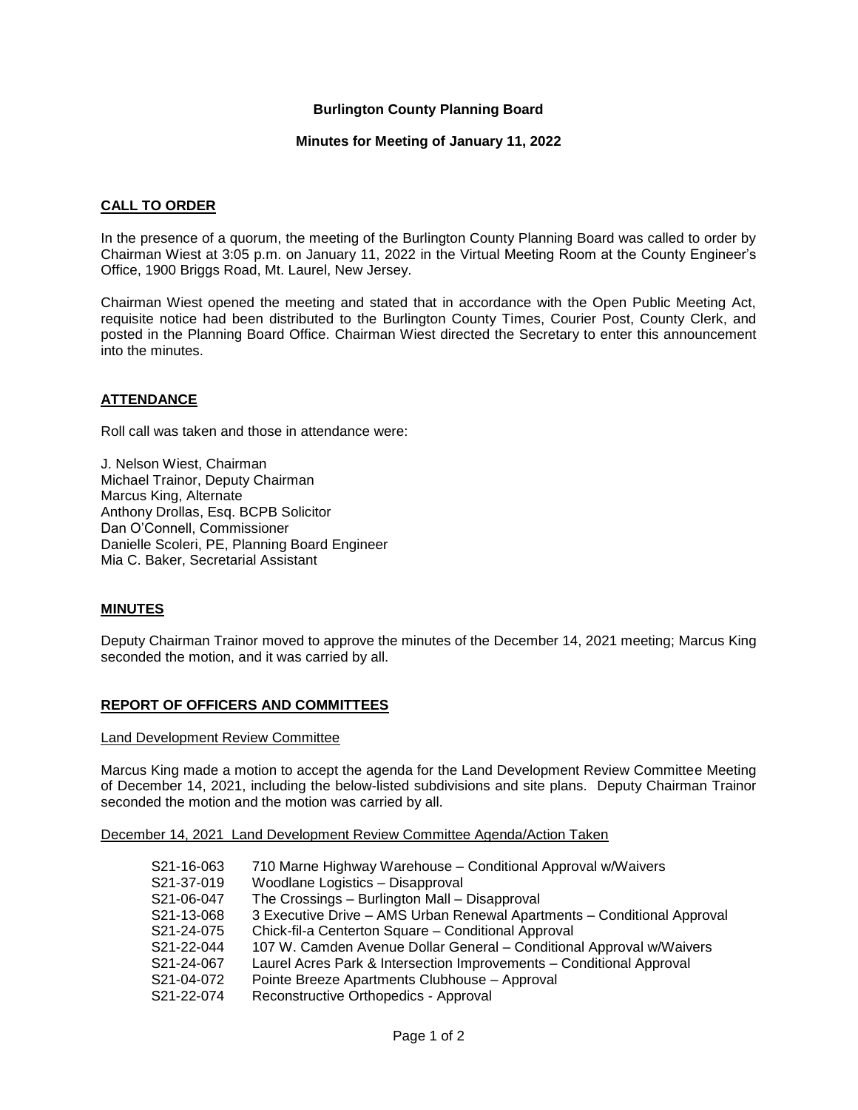## **Burlington County Planning Board**

### **Minutes for Meeting of January 11, 2022**

### **CALL TO ORDER**

In the presence of a quorum, the meeting of the Burlington County Planning Board was called to order by Chairman Wiest at 3:05 p.m. on January 11, 2022 in the Virtual Meeting Room at the County Engineer's Office, 1900 Briggs Road, Mt. Laurel, New Jersey.

Chairman Wiest opened the meeting and stated that in accordance with the Open Public Meeting Act, requisite notice had been distributed to the Burlington County Times, Courier Post, County Clerk, and posted in the Planning Board Office. Chairman Wiest directed the Secretary to enter this announcement into the minutes.

## **ATTENDANCE**

Roll call was taken and those in attendance were:

J. Nelson Wiest, Chairman Michael Trainor, Deputy Chairman Marcus King, Alternate Anthony Drollas, Esq. BCPB Solicitor Dan O'Connell, Commissioner Danielle Scoleri, PE, Planning Board Engineer Mia C. Baker, Secretarial Assistant

### **MINUTES**

Deputy Chairman Trainor moved to approve the minutes of the December 14, 2021 meeting; Marcus King seconded the motion, and it was carried by all.

### **REPORT OF OFFICERS AND COMMITTEES**

#### Land Development Review Committee

Marcus King made a motion to accept the agenda for the Land Development Review Committee Meeting of December 14, 2021, including the below-listed subdivisions and site plans. Deputy Chairman Trainor seconded the motion and the motion was carried by all.

December 14, 2021 Land Development Review Committee Agenda/Action Taken

| 3 Executive Drive - AMS Urban Renewal Apartments - Conditional Approval |
|-------------------------------------------------------------------------|
|                                                                         |
|                                                                         |
|                                                                         |
|                                                                         |
|                                                                         |
|                                                                         |